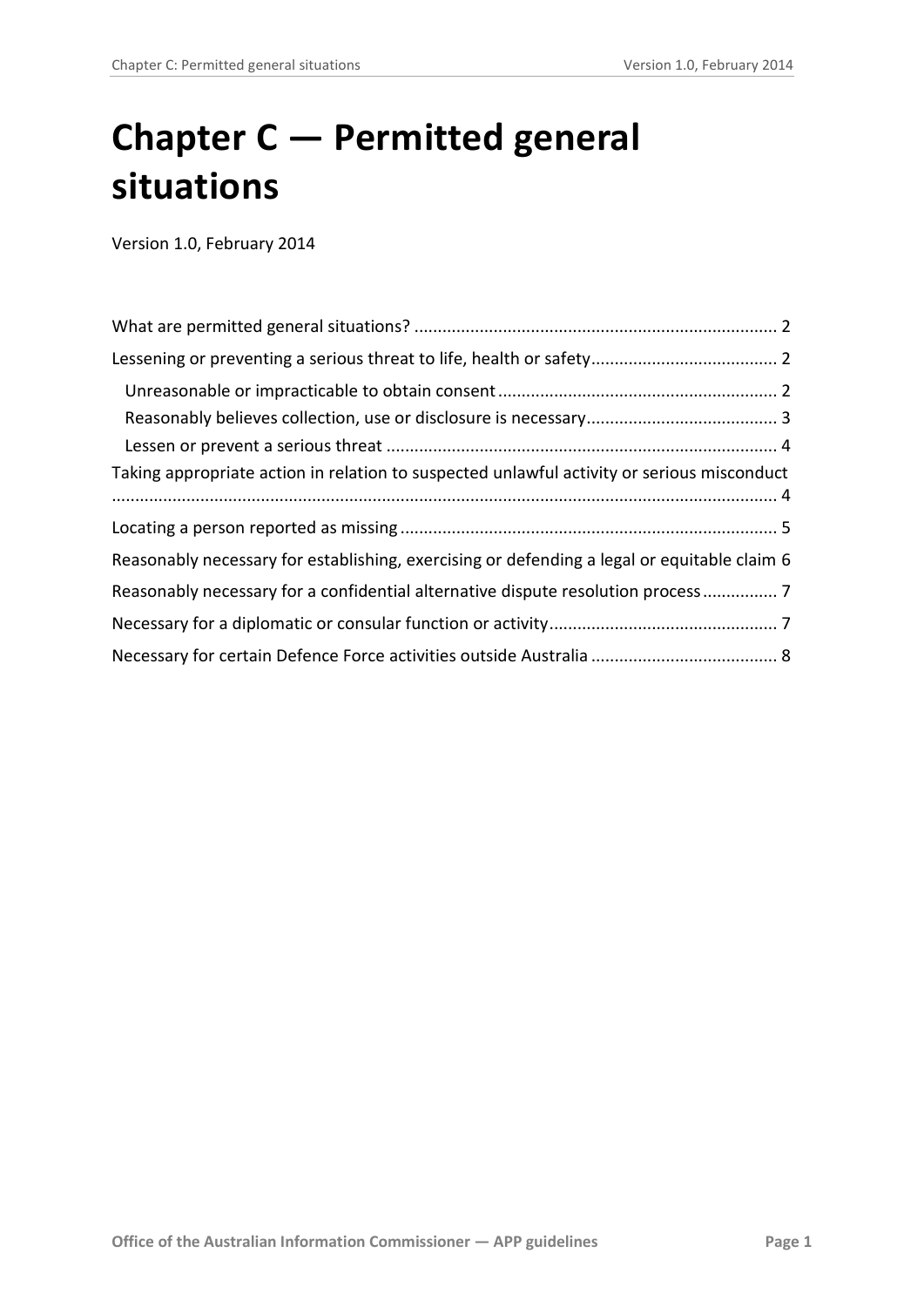# **Chapter C — Permitted general situations**

Version 1.0, February 2014

<span id="page-0-0"></span>

| Taking appropriate action in relation to suspected unlawful activity or serious misconduct  |  |
|---------------------------------------------------------------------------------------------|--|
|                                                                                             |  |
|                                                                                             |  |
| Reasonably necessary for establishing, exercising or defending a legal or equitable claim 6 |  |
| Reasonably necessary for a confidential alternative dispute resolution process              |  |
|                                                                                             |  |
|                                                                                             |  |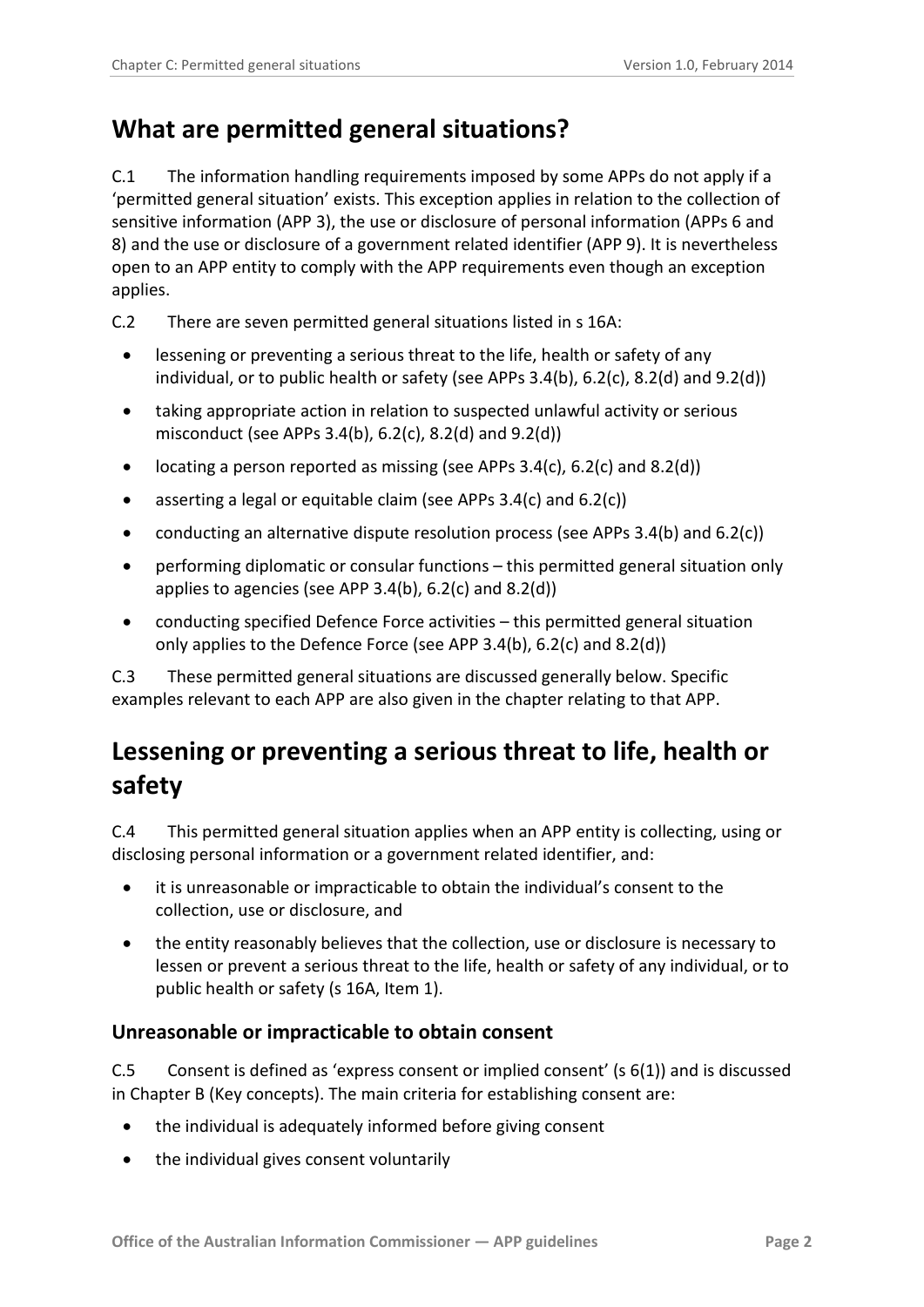#### <span id="page-1-0"></span>**What are permitted general situations?**

C.1 The information handling requirements imposed by some APPs do not apply if a 'permitted general situation' exists. This exception applies in relation to the collection of sensitive information (APP 3), the use or disclosure of personal information (APPs 6 and 8) and the use or disclosure of a government related identifier (APP 9). It is nevertheless open to an APP entity to comply with the APP requirements even though an exception applies.

- C.2 There are seven permitted general situations listed in s 16A:
	- lessening or preventing a serious threat to the life, health or safety of any individual, or to public health or safety (see APPs 3.4(b), 6.2(c), 8.2(d) and 9.2(d))
	- taking appropriate action in relation to suspected unlawful activity or serious misconduct (see APPs 3.4(b), 6.2(c), 8.2(d) and 9.2(d))
	- locating a person reported as missing (see APPs 3.4(c), 6.2(c) and 8.2(d))
	- asserting a legal or equitable claim (see APPs 3.4(c) and 6.2(c))
	- conducting an alternative dispute resolution process (see APPs 3.4(b) and 6.2(c))
	- performing diplomatic or consular functions this permitted general situation only applies to agencies (see APP 3.4(b), 6.2(c) and 8.2(d))
	- conducting specified Defence Force activities this permitted general situation only applies to the Defence Force (see APP 3.4(b), 6.2(c) and 8.2(d))

C.3 These permitted general situations are discussed generally below. Specific examples relevant to each APP are also given in the chapter relating to that APP.

### <span id="page-1-1"></span>**Lessening or preventing a serious threat to life, health or safety**

C.4 This permitted general situation applies when an APP entity is collecting, using or disclosing personal information or a government related identifier, and:

- it is unreasonable or impracticable to obtain the individual's consent to the collection, use or disclosure, and
- the entity reasonably believes that the collection, use or disclosure is necessary to lessen or prevent a serious threat to the life, health or safety of any individual, or to public health or safety (s 16A, Item 1).

#### <span id="page-1-2"></span>**Unreasonable or impracticable to obtain consent**

C.5 Consent is defined as 'express consent or implied consent' (s 6(1)) and is discussed in Chapter B (Key concepts). The main criteria for establishing consent are:

- the individual is adequately informed before giving consent
- the individual gives consent voluntarily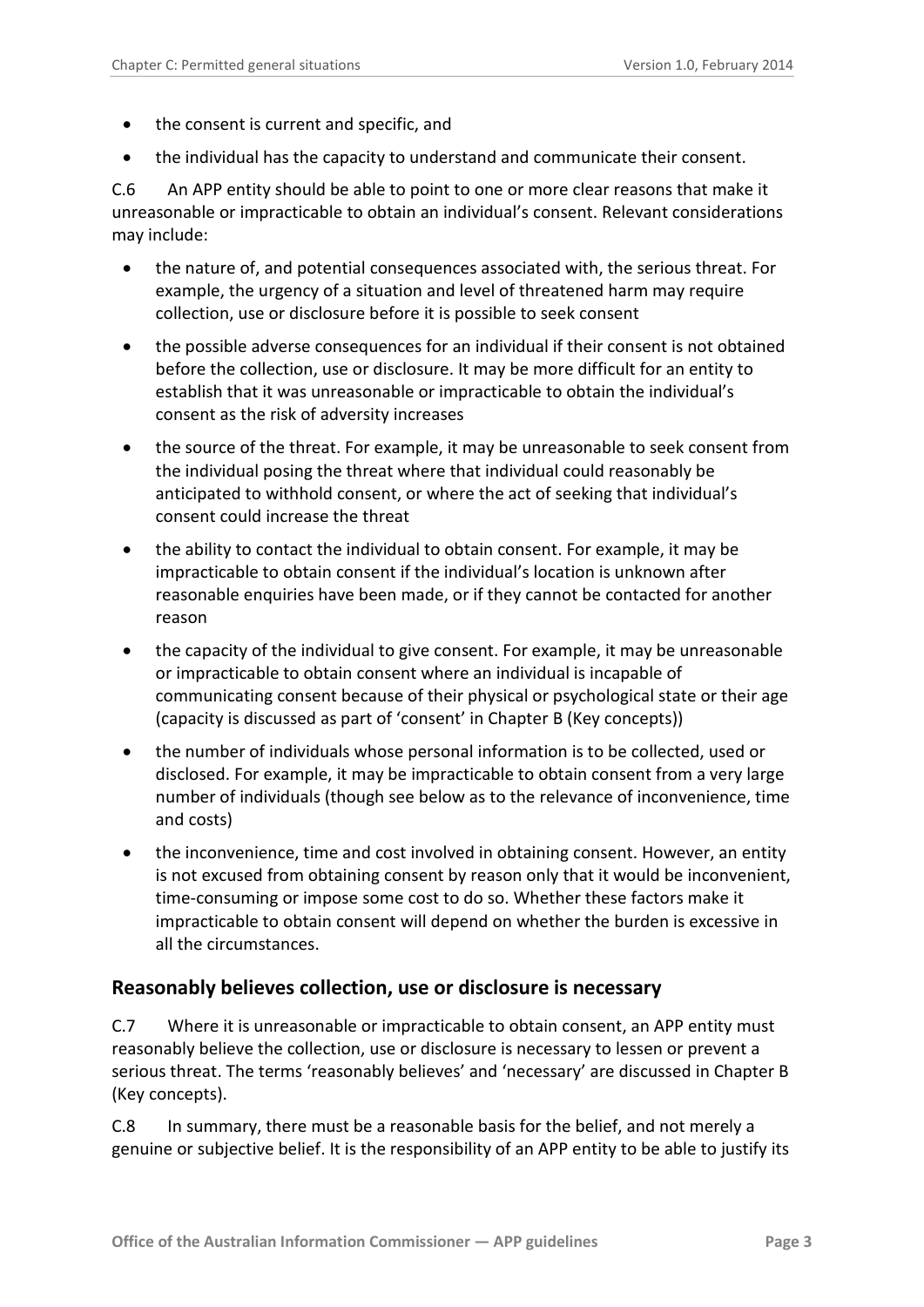- the consent is current and specific, and
- the individual has the capacity to understand and communicate their consent.

C.6 An APP entity should be able to point to one or more clear reasons that make it unreasonable or impracticable to obtain an individual's consent. Relevant considerations may include:

- the nature of, and potential consequences associated with, the serious threat. For example, the urgency of a situation and level of threatened harm may require collection, use or disclosure before it is possible to seek consent
- the possible adverse consequences for an individual if their consent is not obtained before the collection, use or disclosure. It may be more difficult for an entity to establish that it was unreasonable or impracticable to obtain the individual's consent as the risk of adversity increases
- the source of the threat. For example, it may be unreasonable to seek consent from the individual posing the threat where that individual could reasonably be anticipated to withhold consent, or where the act of seeking that individual's consent could increase the threat
- the ability to contact the individual to obtain consent. For example, it may be impracticable to obtain consent if the individual's location is unknown after reasonable enquiries have been made, or if they cannot be contacted for another reason
- the capacity of the individual to give consent. For example, it may be unreasonable or impracticable to obtain consent where an individual is incapable of communicating consent because of their physical or psychological state or their age (capacity is discussed as part of 'consent' in Chapter B (Key concepts))
- the number of individuals whose personal information is to be collected, used or disclosed. For example, it may be impracticable to obtain consent from a very large number of individuals (though see below as to the relevance of inconvenience, time and costs)
- the inconvenience, time and cost involved in obtaining consent. However, an entity is not excused from obtaining consent by reason only that it would be inconvenient, time-consuming or impose some cost to do so. Whether these factors make it impracticable to obtain consent will depend on whether the burden is excessive in all the circumstances.

#### <span id="page-2-0"></span>**Reasonably believes collection, use or disclosure is necessary**

C.7 Where it is unreasonable or impracticable to obtain consent, an APP entity must reasonably believe the collection, use or disclosure is necessary to lessen or prevent a serious threat. The terms 'reasonably believes' and 'necessary' are discussed in Chapter B (Key concepts).

C.8 In summary, there must be a reasonable basis for the belief, and not merely a genuine or subjective belief. It is the responsibility of an APP entity to be able to justify its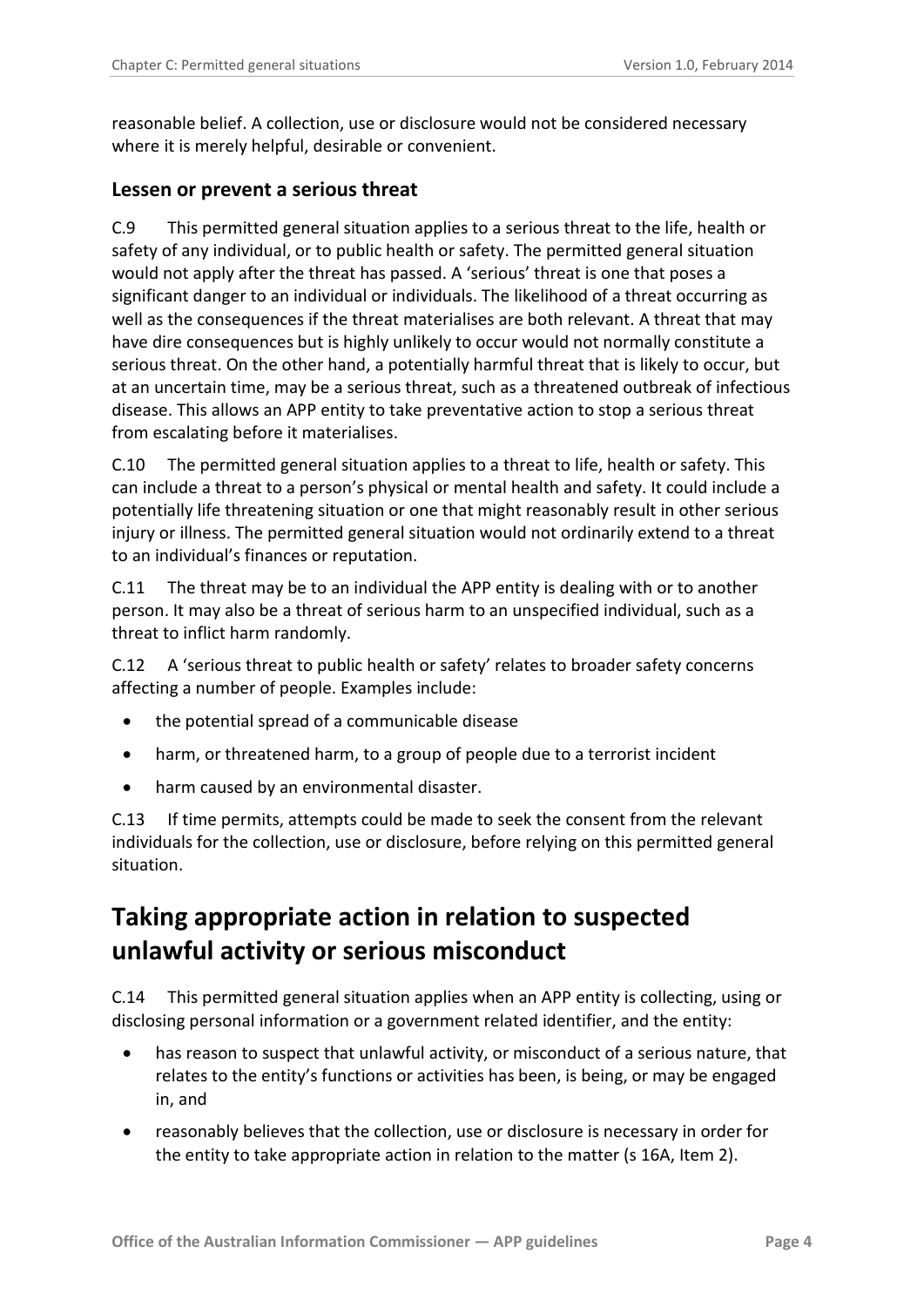reasonable belief. A collection, use or disclosure would not be considered necessary where it is merely helpful, desirable or convenient.

#### <span id="page-3-0"></span>**Lessen or prevent a serious threat**

C.9 This permitted general situation applies to a serious threat to the life, health or safety of any individual, or to public health or safety. The permitted general situation would not apply after the threat has passed. A 'serious' threat is one that poses a significant danger to an individual or individuals. The likelihood of a threat occurring as well as the consequences if the threat materialises are both relevant. A threat that may have dire consequences but is highly unlikely to occur would not normally constitute a serious threat. On the other hand, a potentially harmful threat that is likely to occur, but at an uncertain time, may be a serious threat, such as a threatened outbreak of infectious disease. This allows an APP entity to take preventative action to stop a serious threat from escalating before it materialises.

C.10 The permitted general situation applies to a threat to life, health or safety. This can include a threat to a person's physical or mental health and safety. It could include a potentially life threatening situation or one that might reasonably result in other serious injury or illness. The permitted general situation would not ordinarily extend to a threat to an individual's finances or reputation.

C.11 The threat may be to an individual the APP entity is dealing with or to another person. It may also be a threat of serious harm to an unspecified individual, such as a threat to inflict harm randomly.

C.12 A 'serious threat to public health or safety' relates to broader safety concerns affecting a number of people. Examples include:

- the potential spread of a communicable disease
- harm, or threatened harm, to a group of people due to a terrorist incident
- harm caused by an environmental disaster.

C.13 If time permits, attempts could be made to seek the consent from the relevant individuals for the collection, use or disclosure, before relying on this permitted general situation.

### <span id="page-3-1"></span>**Taking appropriate action in relation to suspected unlawful activity or serious misconduct**

C.14 This permitted general situation applies when an APP entity is collecting, using or disclosing personal information or a government related identifier, and the entity:

- has reason to suspect that unlawful activity, or misconduct of a serious nature, that relates to the entity's functions or activities has been, is being, or may be engaged in, and
- reasonably believes that the collection, use or disclosure is necessary in order for the entity to take appropriate action in relation to the matter (s 16A, Item 2).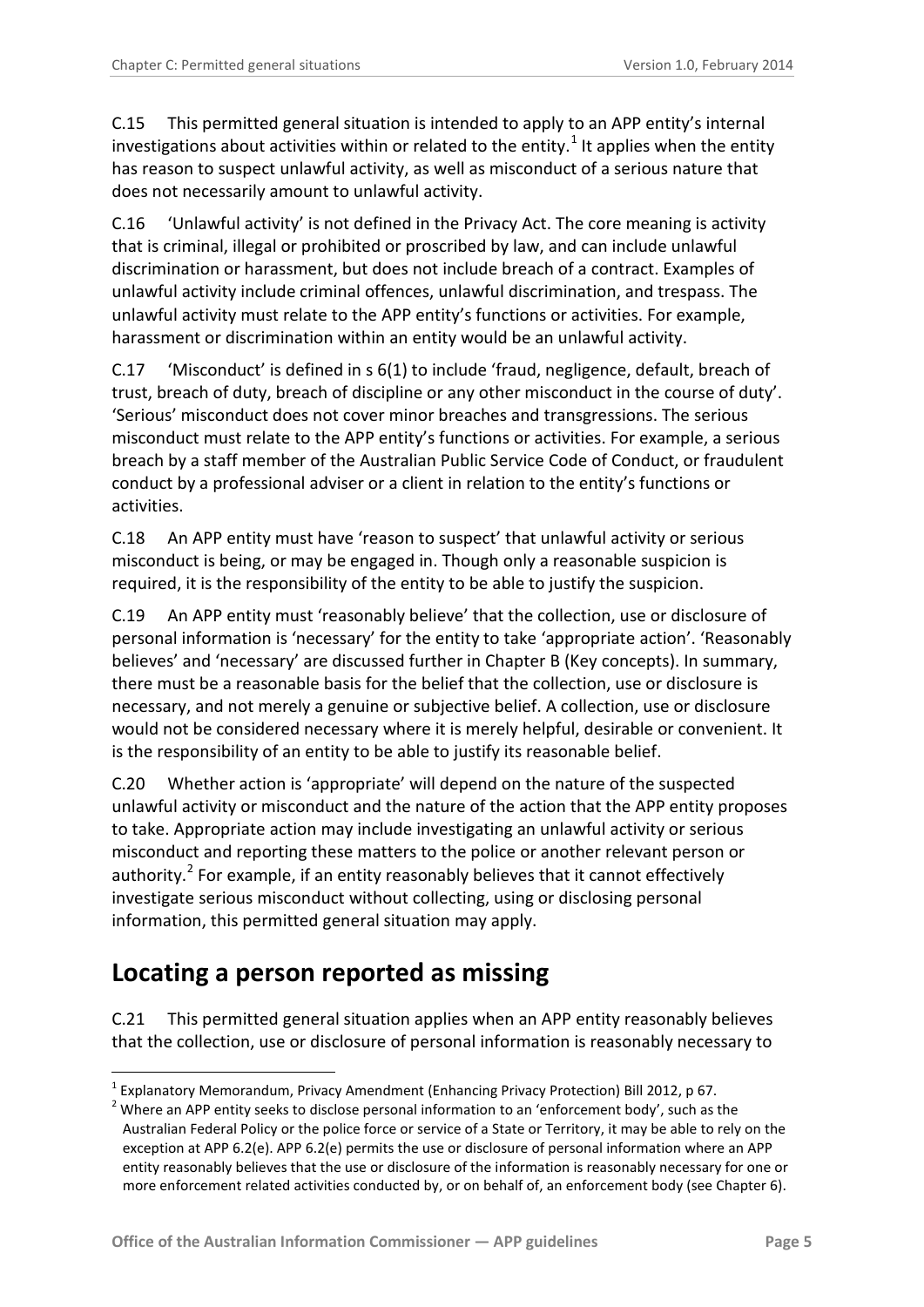C.15 This permitted general situation is intended to apply to an APP entity's internal investigations about activities within or related to the entity.<sup>[1](#page-0-0)</sup> It applies when the entity has reason to suspect unlawful activity, as well as misconduct of a serious nature that does not necessarily amount to unlawful activity.

C.16 'Unlawful activity' is not defined in the Privacy Act. The core meaning is activity that is criminal, illegal or prohibited or proscribed by law, and can include unlawful discrimination or harassment, but does not include breach of a contract. Examples of unlawful activity include criminal offences, unlawful discrimination, and trespass. The unlawful activity must relate to the APP entity's functions or activities. For example, harassment or discrimination within an entity would be an unlawful activity.

C.17 'Misconduct' is defined in s 6(1) to include 'fraud, negligence, default, breach of trust, breach of duty, breach of discipline or any other misconduct in the course of duty'. 'Serious' misconduct does not cover minor breaches and transgressions. The serious misconduct must relate to the APP entity's functions or activities. For example, a serious breach by a staff member of the Australian Public Service Code of Conduct, or fraudulent conduct by a professional adviser or a client in relation to the entity's functions or activities.

C.18 An APP entity must have 'reason to suspect' that unlawful activity or serious misconduct is being, or may be engaged in. Though only a reasonable suspicion is required, it is the responsibility of the entity to be able to justify the suspicion.

C.19 An APP entity must 'reasonably believe' that the collection, use or disclosure of personal information is 'necessary' for the entity to take 'appropriate action'. 'Reasonably believes' and 'necessary' are discussed further in Chapter B (Key concepts). In summary, there must be a reasonable basis for the belief that the collection, use or disclosure is necessary, and not merely a genuine or subjective belief. A collection, use or disclosure would not be considered necessary where it is merely helpful, desirable or convenient. It is the responsibility of an entity to be able to justify its reasonable belief.

C.20 Whether action is 'appropriate' will depend on the nature of the suspected unlawful activity or misconduct and the nature of the action that the APP entity proposes to take. Appropriate action may include investigating an unlawful activity or serious misconduct and reporting these matters to the police or another relevant person or authority. $^2$  $^2$  For example, if an entity reasonably believes that it cannot effectively investigate serious misconduct without collecting, using or disclosing personal information, this permitted general situation may apply.

### <span id="page-4-0"></span>**Locating a person reported as missing**

-

C.21 This permitted general situation applies when an APP entity reasonably believes that the collection, use or disclosure of personal information is reasonably necessary to

<span id="page-4-2"></span><span id="page-4-1"></span><sup>&</sup>lt;sup>1</sup> Explanatory Memorandum, Privacy Amendment (Enhancing Privacy Protection) Bill 2012, p 67.<br><sup>2</sup> Where an APP entity seeks to disclose personal information to an 'enforcement body', such as the Australian Federal Policy or the police force or service of a State or Territory, it may be able to rely on the exception at APP 6.2(e). APP 6.2(e) permits the use or disclosure of personal information where an APP entity reasonably believes that the use or disclosure of the information is reasonably necessary for one or more enforcement related activities conducted by, or on behalf of, an enforcement body (see Chapter 6).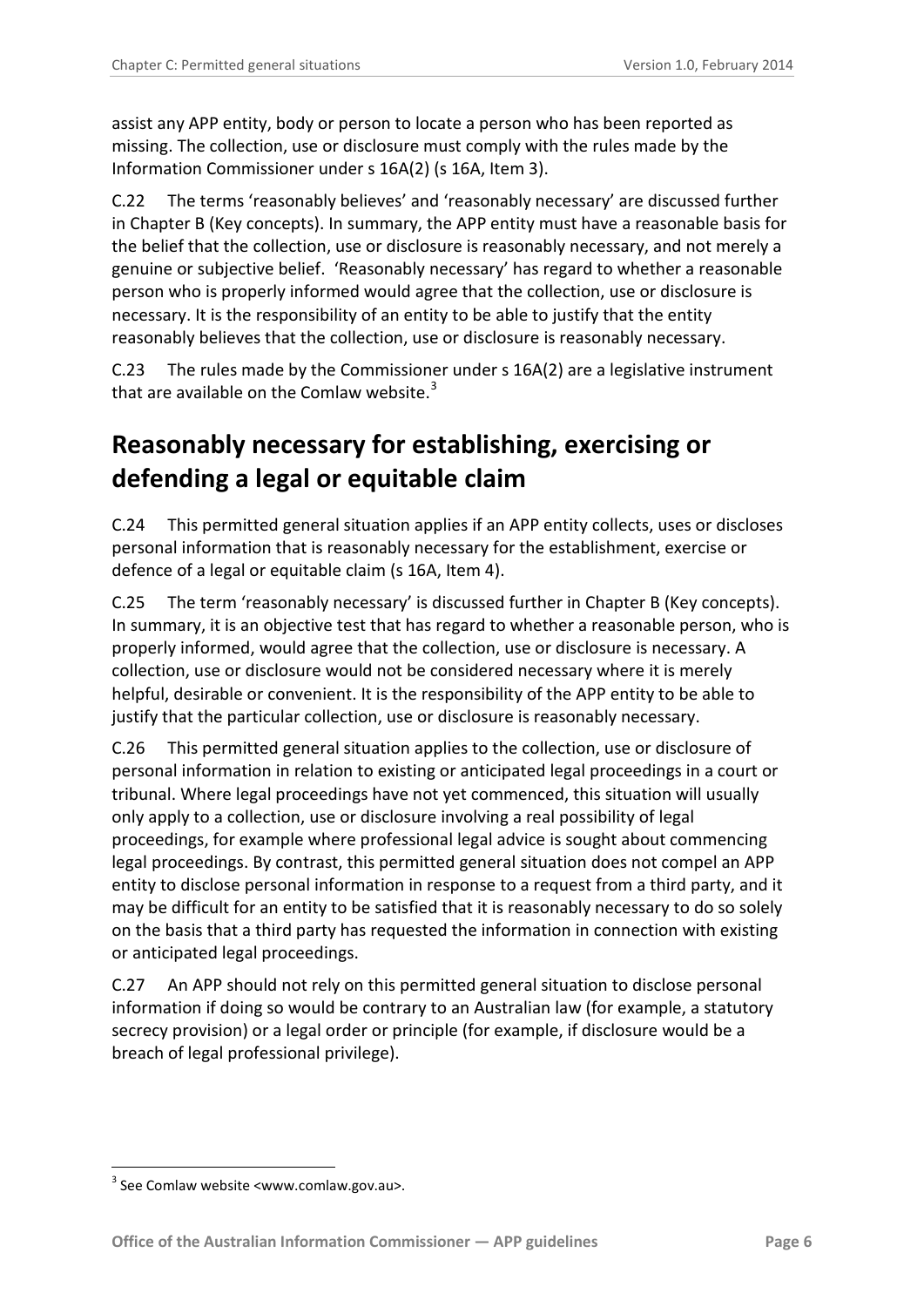assist any APP entity, body or person to locate a person who has been reported as missing. The collection, use or disclosure must comply with the rules made by the Information Commissioner under s 16A(2) (s 16A, Item 3).

C.22 The terms 'reasonably believes' and 'reasonably necessary' are discussed further in Chapter B (Key concepts). In summary, the APP entity must have a reasonable basis for the belief that the collection, use or disclosure is reasonably necessary, and not merely a genuine or subjective belief. 'Reasonably necessary' has regard to whether a reasonable person who is properly informed would agree that the collection, use or disclosure is necessary. It is the responsibility of an entity to be able to justify that the entity reasonably believes that the collection, use or disclosure is reasonably necessary.

C.23 The rules made by the Commissioner under s 16A(2) are a legislative instrument that are available on the Comlaw website.<sup>[3](#page-4-2)</sup>

# <span id="page-5-0"></span>**Reasonably necessary for establishing, exercising or defending a legal or equitable claim**

C.24 This permitted general situation applies if an APP entity collects, uses or discloses personal information that is reasonably necessary for the establishment, exercise or defence of a legal or equitable claim (s 16A, Item 4).

C.25 The term 'reasonably necessary' is discussed further in Chapter B (Key concepts). In summary, it is an objective test that has regard to whether a reasonable person, who is properly informed, would agree that the collection, use or disclosure is necessary. A collection, use or disclosure would not be considered necessary where it is merely helpful, desirable or convenient. It is the responsibility of the APP entity to be able to justify that the particular collection, use or disclosure is reasonably necessary.

C.26 This permitted general situation applies to the collection, use or disclosure of personal information in relation to existing or anticipated legal proceedings in a court or tribunal. Where legal proceedings have not yet commenced, this situation will usually only apply to a collection, use or disclosure involving a real possibility of legal proceedings, for example where professional legal advice is sought about commencing legal proceedings. By contrast, this permitted general situation does not compel an APP entity to disclose personal information in response to a request from a third party, and it may be difficult for an entity to be satisfied that it is reasonably necessary to do so solely on the basis that a third party has requested the information in connection with existing or anticipated legal proceedings.

C.27 An APP should not rely on this permitted general situation to disclose personal information if doing so would be contrary to an Australian law (for example, a statutory secrecy provision) or a legal order or principle (for example, if disclosure would be a breach of legal professional privilege).

<span id="page-5-1"></span>-

 $3$  See Comlaw website <www.comlaw.gov.au>.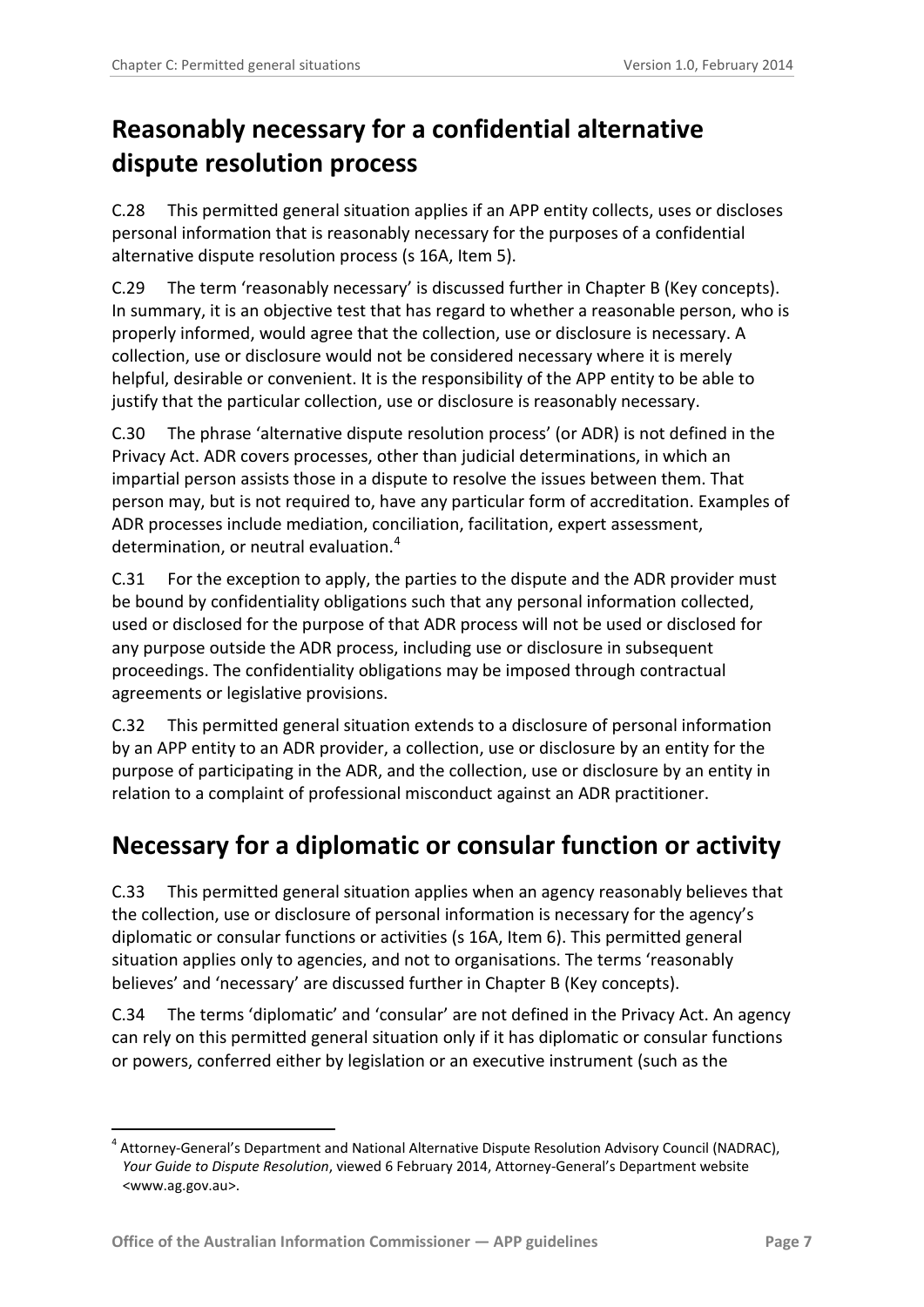# <span id="page-6-0"></span>**Reasonably necessary for a confidential alternative dispute resolution process**

C.28 This permitted general situation applies if an APP entity collects, uses or discloses personal information that is reasonably necessary for the purposes of a confidential alternative dispute resolution process (s 16A, Item 5).

C.29 The term 'reasonably necessary' is discussed further in Chapter B (Key concepts). In summary, it is an objective test that has regard to whether a reasonable person, who is properly informed, would agree that the collection, use or disclosure is necessary. A collection, use or disclosure would not be considered necessary where it is merely helpful, desirable or convenient. It is the responsibility of the APP entity to be able to justify that the particular collection, use or disclosure is reasonably necessary.

C.30 The phrase 'alternative dispute resolution process' (or ADR) is not defined in the Privacy Act. ADR covers processes, other than judicial determinations, in which an impartial person assists those in a dispute to resolve the issues between them. That person may, but is not required to, have any particular form of accreditation. Examples of ADR processes include mediation, conciliation, facilitation, expert assessment, determination, or neutral evaluation.<sup>[4](#page-5-1)</sup>

C.31 For the exception to apply, the parties to the dispute and the ADR provider must be bound by confidentiality obligations such that any personal information collected, used or disclosed for the purpose of that ADR process will not be used or disclosed for any purpose outside the ADR process, including use or disclosure in subsequent proceedings. The confidentiality obligations may be imposed through contractual agreements or legislative provisions.

C.32 This permitted general situation extends to a disclosure of personal information by an APP entity to an ADR provider, a collection, use or disclosure by an entity for the purpose of participating in the ADR, and the collection, use or disclosure by an entity in relation to a complaint of professional misconduct against an ADR practitioner.

### <span id="page-6-1"></span>**Necessary for a diplomatic or consular function or activity**

C.33 This permitted general situation applies when an agency reasonably believes that the collection, use or disclosure of personal information is necessary for the agency's diplomatic or consular functions or activities (s 16A, Item 6). This permitted general situation applies only to agencies, and not to organisations. The terms 'reasonably believes' and 'necessary' are discussed further in Chapter B (Key concepts).

C.34 The terms 'diplomatic' and 'consular' are not defined in the Privacy Act. An agency can rely on this permitted general situation only if it has diplomatic or consular functions or powers, conferred either by legislation or an executive instrument (such as the

-

<sup>4</sup> Attorney-General's Department and National Alternative Dispute Resolution Advisory Council (NADRAC), *Your Guide to Dispute Resolution*, viewed 6 February 2014, Attorney-General's Department website <www.ag.gov.au>.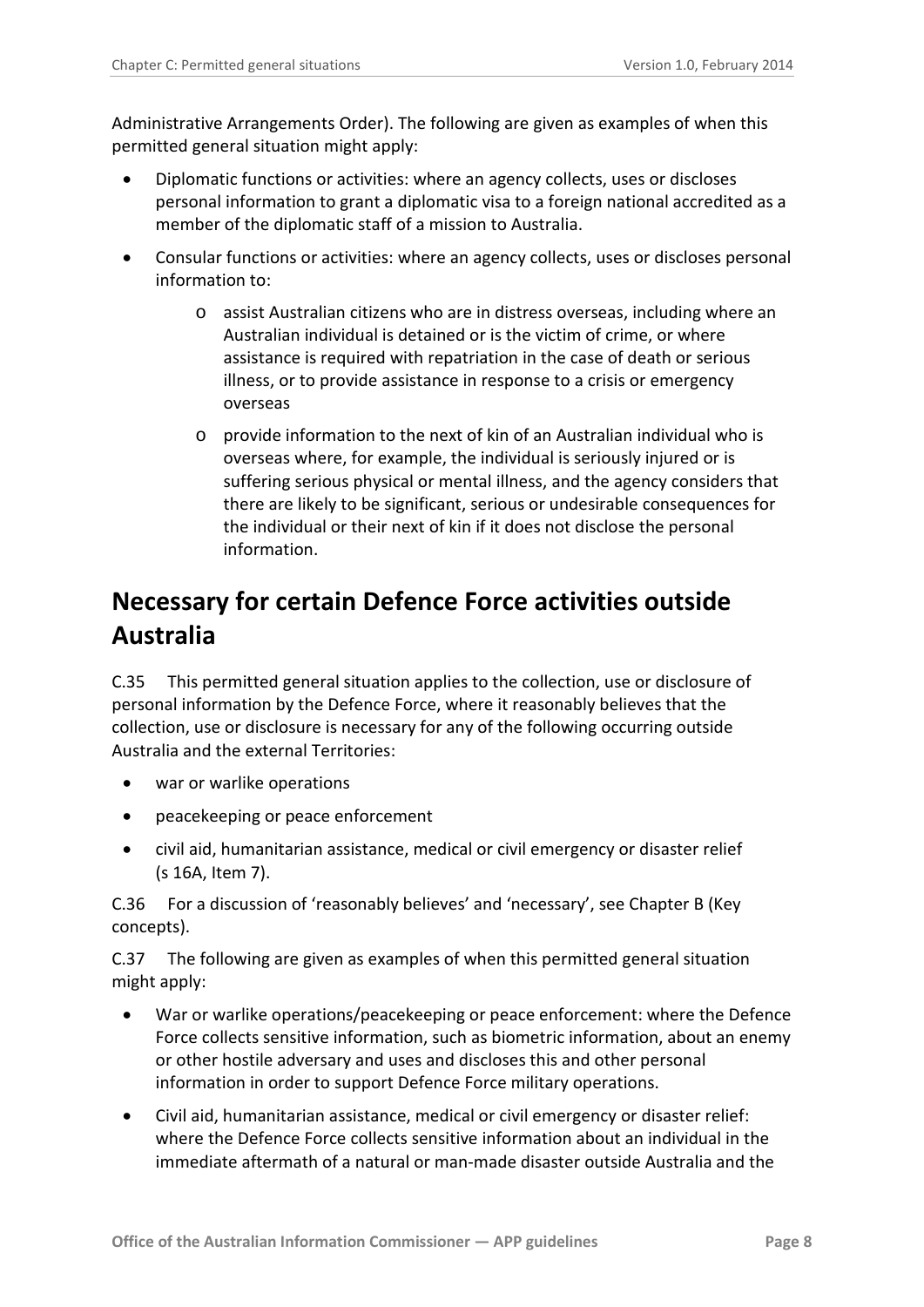Administrative Arrangements Order). The following are given as examples of when this permitted general situation might apply:

- Diplomatic functions or activities: where an agency collects, uses or discloses personal information to grant a diplomatic visa to a foreign national accredited as a member of the diplomatic staff of a mission to Australia.
- Consular functions or activities: where an agency collects, uses or discloses personal information to:
	- o assist Australian citizens who are in distress overseas, including where an Australian individual is detained or is the victim of crime, or where assistance is required with repatriation in the case of death or serious illness, or to provide assistance in response to a crisis or emergency overseas
	- $\circ$  provide information to the next of kin of an Australian individual who is overseas where, for example, the individual is seriously injured or is suffering serious physical or mental illness, and the agency considers that there are likely to be significant, serious or undesirable consequences for the individual or their next of kin if it does not disclose the personal information.

# <span id="page-7-0"></span>**Necessary for certain Defence Force activities outside Australia**

C.35 This permitted general situation applies to the collection, use or disclosure of personal information by the Defence Force, where it reasonably believes that the collection, use or disclosure is necessary for any of the following occurring outside Australia and the external Territories:

- war or warlike operations
- peacekeeping or peace enforcement
- civil aid, humanitarian assistance, medical or civil emergency or disaster relief (s 16A, Item 7).

C.36 For a discussion of 'reasonably believes' and 'necessary', see Chapter B (Key concepts).

C.37 The following are given as examples of when this permitted general situation might apply:

- War or warlike operations/peacekeeping or peace enforcement: where the Defence Force collects sensitive information, such as biometric information, about an enemy or other hostile adversary and uses and discloses this and other personal information in order to support Defence Force military operations.
- Civil aid, humanitarian assistance, medical or civil emergency or disaster relief: where the Defence Force collects sensitive information about an individual in the immediate aftermath of a natural or man-made disaster outside Australia and the